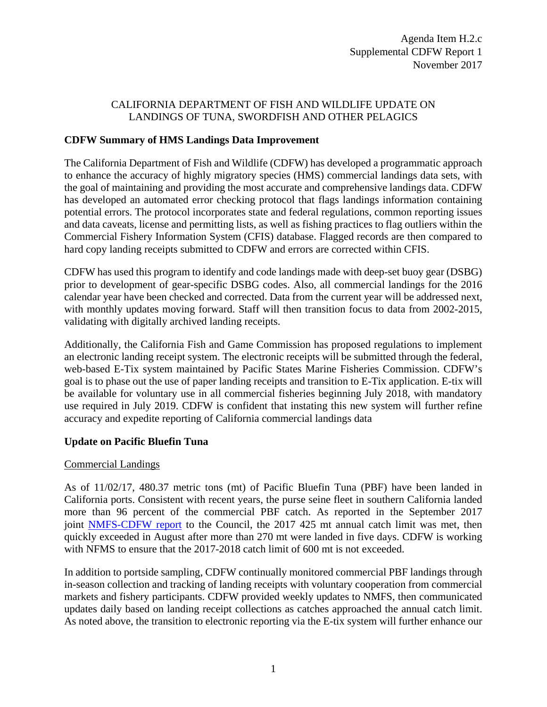# CALIFORNIA DEPARTMENT OF FISH AND WILDLIFE UPDATE ON LANDINGS OF TUNA, SWORDFISH AND OTHER PELAGICS

## **CDFW Summary of HMS Landings Data Improvement**

The California Department of Fish and Wildlife (CDFW) has developed a programmatic approach to enhance the accuracy of highly migratory species (HMS) commercial landings data sets, with the goal of maintaining and providing the most accurate and comprehensive landings data. CDFW has developed an automated error checking protocol that flags landings information containing potential errors. The protocol incorporates state and federal regulations, common reporting issues and data caveats, license and permitting lists, as well as fishing practices to flag outliers within the Commercial Fishery Information System (CFIS) database. Flagged records are then compared to hard copy landing receipts submitted to CDFW and errors are corrected within CFIS.

CDFW has used this program to identify and code landings made with deep-set buoy gear (DSBG) prior to development of gear-specific DSBG codes. Also, all commercial landings for the 2016 calendar year have been checked and corrected. Data from the current year will be addressed next, with monthly updates moving forward. Staff will then transition focus to data from 2002-2015, validating with digitally archived landing receipts.

Additionally, the California Fish and Game Commission has proposed regulations to implement an electronic landing receipt system. The electronic receipts will be submitted through the federal, web-based E-Tix system maintained by Pacific States Marine Fisheries Commission. CDFW's goal is to phase out the use of paper landing receipts and transition to E-Tix application. E-tix will be available for voluntary use in all commercial fisheries beginning July 2018, with mandatory use required in July 2019. CDFW is confident that instating this new system will further refine accuracy and expedite reporting of California commercial landings data

# **Update on Pacific Bluefin Tuna**

#### Commercial Landings

As of 11/02/17, 480.37 metric tons (mt) of Pacific Bluefin Tuna (PBF) have been landed in California ports. Consistent with recent years, the purse seine fleet in southern California landed more than 96 percent of the commercial PBF catch. As reported in the September 2017 joint [NMFS-CDFW report](https://www.pcouncil.org/wp-content/uploads/2017/09/J3a_Sup_Joint_CDFW_NMFS_Rpt1_Intl_SEPT2017BB.pdf) to the Council, the 2017 425 mt annual catch limit was met, then quickly exceeded in August after more than 270 mt were landed in five days. CDFW is working with NFMS to ensure that the 2017-2018 catch limit of 600 mt is not exceeded.

In addition to portside sampling, CDFW continually monitored commercial PBF landings through in-season collection and tracking of landing receipts with voluntary cooperation from commercial markets and fishery participants. CDFW provided weekly updates to NMFS, then communicated updates daily based on landing receipt collections as catches approached the annual catch limit. As noted above, the transition to electronic reporting via the E-tix system will further enhance our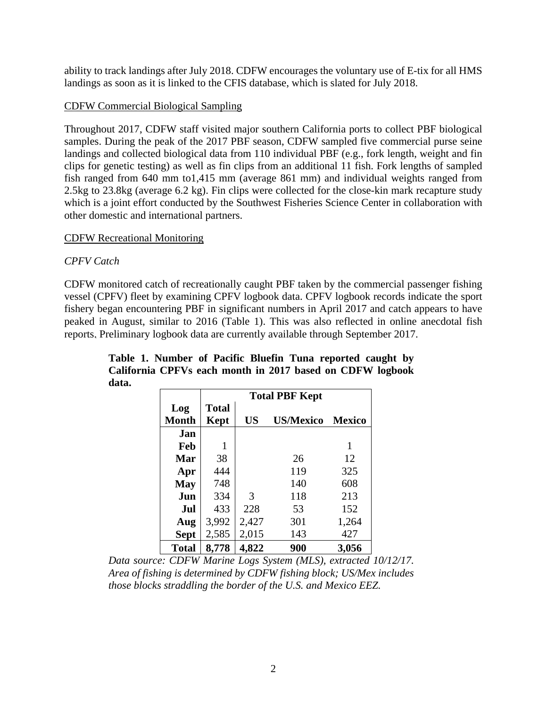ability to track landings after July 2018. CDFW encourages the voluntary use of E-tix for all HMS landings as soon as it is linked to the CFIS database, which is slated for July 2018.

## CDFW Commercial Biological Sampling

Throughout 2017, CDFW staff visited major southern California ports to collect PBF biological samples. During the peak of the 2017 PBF season, CDFW sampled five commercial purse seine landings and collected biological data from 110 individual PBF (e.g., fork length, weight and fin clips for genetic testing) as well as fin clips from an additional 11 fish. Fork lengths of sampled fish ranged from 640 mm to1,415 mm (average 861 mm) and individual weights ranged from 2.5kg to 23.8kg (average 6.2 kg). Fin clips were collected for the close-kin mark recapture study which is a joint effort conducted by the Southwest Fisheries Science Center in collaboration with other domestic and international partners.

### CDFW Recreational Monitoring

### *CPFV Catch*

CDFW monitored catch of recreationally caught PBF taken by the commercial passenger fishing vessel (CPFV) fleet by examining CPFV logbook data. CPFV logbook records indicate the sport fishery began encountering PBF in significant numbers in April 2017 and catch appears to have peaked in August, similar to 2016 (Table 1). This was also reflected in online anecdotal fish reports. Preliminary logbook data are currently available through September 2017.

|              | <b>Total PBF Kept</b> |           |                  |               |  |  |
|--------------|-----------------------|-----------|------------------|---------------|--|--|
| Log          | <b>Total</b>          |           |                  |               |  |  |
| <b>Month</b> | Kept                  | <b>US</b> | <b>US/Mexico</b> | <b>Mexico</b> |  |  |
| Jan          |                       |           |                  |               |  |  |
| Feb          | 1                     |           |                  | 1             |  |  |
| <b>Mar</b>   | 38                    |           | 26               | 12            |  |  |
| Apr          | 444                   |           | 119              | 325           |  |  |
| <b>May</b>   | 748                   |           | 140              | 608           |  |  |
| Jun          | 334                   | 3         | 118              | 213           |  |  |
| Jul          | 433                   | 228       | 53               | 152           |  |  |
| Aug          | 3,992                 | 2,427     | 301              | 1,264         |  |  |
| <b>Sept</b>  | 2,585                 | 2,015     | 143              | 427           |  |  |
| <b>Total</b> | 8,778                 | 4,822     | 900              | 3,056         |  |  |

**Table 1. Number of Pacific Bluefin Tuna reported caught by California CPFVs each month in 2017 based on CDFW logbook data.**

*Data source: CDFW Marine Logs System (MLS), extracted 10/12/17. Area of fishing is determined by CDFW fishing block; US/Mex includes those blocks straddling the border of the U.S. and Mexico EEZ.*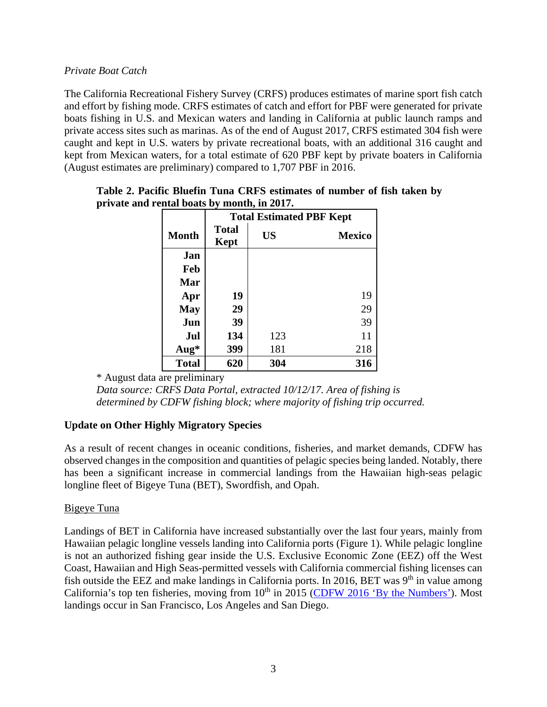# *Private Boat Catch*

The California Recreational Fishery Survey (CRFS) produces estimates of marine sport fish catch and effort by fishing mode. CRFS estimates of catch and effort for PBF were generated for private boats fishing in U.S. and Mexican waters and landing in California at public launch ramps and private access sites such as marinas. As of the end of August 2017, CRFS estimated 304 fish were caught and kept in U.S. waters by private recreational boats, with an additional 316 caught and kept from Mexican waters, for a total estimate of 620 PBF kept by private boaters in California (August estimates are preliminary) compared to 1,707 PBF in 2016.

|              | <b>Total Estimated PBF Kept</b> |           |               |  |  |  |
|--------------|---------------------------------|-----------|---------------|--|--|--|
| <b>Month</b> | <b>Total</b><br><b>Kept</b>     | <b>US</b> | <b>Mexico</b> |  |  |  |
| Jan          |                                 |           |               |  |  |  |
| Feb          |                                 |           |               |  |  |  |
| Mar          |                                 |           |               |  |  |  |
| Apr          | 19                              |           | 19            |  |  |  |
| <b>May</b>   | 29                              |           | 29            |  |  |  |
| Jun          | 39                              |           | 39            |  |  |  |
| Jul          | 134                             | 123       | 11            |  |  |  |
| Aug*         | 399                             | 181       | 218           |  |  |  |
| <b>Total</b> | 620                             | 304       | 316           |  |  |  |

### **Table 2. Pacific Bluefin Tuna CRFS estimates of number of fish taken by private and rental boats by month, in 2017.**

\* August data are preliminary

*Data source: CRFS Data Portal, extracted 10/12/17. Area of fishing is determined by CDFW fishing block; where majority of fishing trip occurred.*

# **Update on Other Highly Migratory Species**

As a result of recent changes in oceanic conditions, fisheries, and market demands, CDFW has observed changes in the composition and quantities of pelagic species being landed. Notably, there has been a significant increase in commercial landings from the Hawaiian high-seas pelagic longline fleet of Bigeye Tuna (BET), Swordfish, and Opah.

# Bigeye Tuna

Landings of BET in California have increased substantially over the last four years, mainly from Hawaiian pelagic longline vessels landing into California ports (Figure 1). While pelagic longline is not an authorized fishing gear inside the U.S. Exclusive Economic Zone (EEZ) off the West Coast, Hawaiian and High Seas-permitted vessels with California commercial fishing licenses can fish outside the EEZ and make landings in California ports. In 2016, BET was  $9<sup>th</sup>$  in value among California's top ten fisheries, moving from  $10<sup>th</sup>$  in 2015 [\(CDFW 2016 'By the Numbers'\)](https://nrm.dfg.ca.gov/FileHandler.ashx?DocumentID=147230&inline). Most landings occur in San Francisco, Los Angeles and San Diego.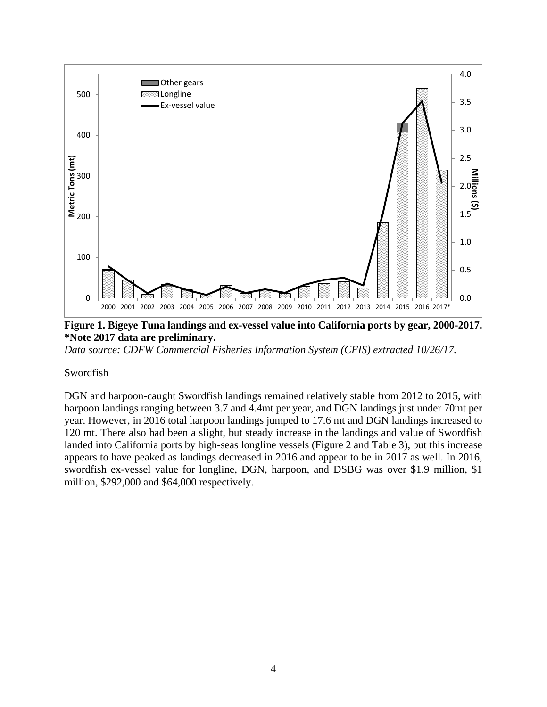

**Figure 1. Bigeye Tuna landings and ex-vessel value into California ports by gear, 2000-2017. \*Note 2017 data are preliminary.**

*Data source: CDFW Commercial Fisheries Information System (CFIS) extracted 10/26/17.*

#### Swordfish

DGN and harpoon-caught Swordfish landings remained relatively stable from 2012 to 2015, with harpoon landings ranging between 3.7 and 4.4mt per year, and DGN landings just under 70mt per year. However, in 2016 total harpoon landings jumped to 17.6 mt and DGN landings increased to 120 mt. There also had been a slight, but steady increase in the landings and value of Swordfish landed into California ports by high-seas longline vessels (Figure 2 and Table 3), but this increase appears to have peaked as landings decreased in 2016 and appear to be in 2017 as well. In 2016, swordfish ex-vessel value for longline, DGN, harpoon, and DSBG was over \$1.9 million, \$1 million, \$292,000 and \$64,000 respectively.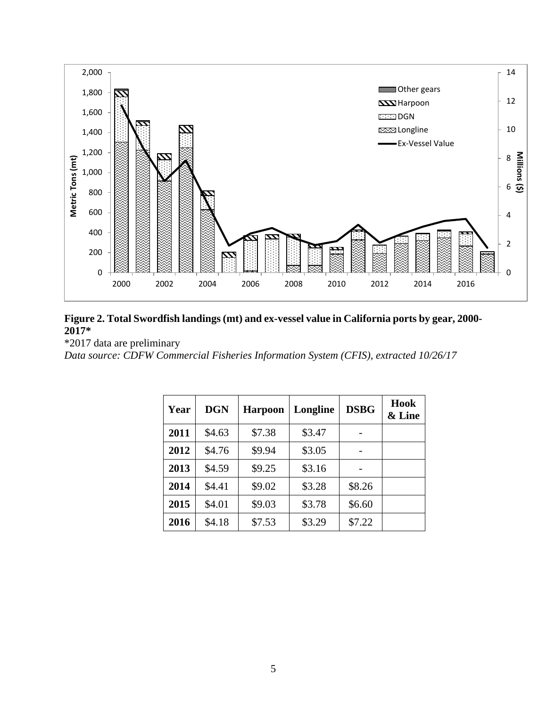

# **Figure 2. Total Swordfish landings (mt) and ex-vessel value in California ports by gear, 2000- 2017\***

\*2017 data are preliminary

*Data source: CDFW Commercial Fisheries Information System (CFIS), extracted 10/26/17*

| Year | <b>DGN</b> | <b>Harpoon</b> | Longline | <b>DSBG</b> | Hook<br>& Line |
|------|------------|----------------|----------|-------------|----------------|
| 2011 | \$4.63     | \$7.38         | \$3.47   |             |                |
| 2012 | \$4.76     | \$9.94         | \$3.05   |             |                |
| 2013 | \$4.59     | \$9.25         | \$3.16   |             |                |
| 2014 | \$4.41     | \$9.02         | \$3.28   | \$8.26      |                |
| 2015 | \$4.01     | \$9.03         | \$3.78   | \$6.60      |                |
| 2016 | \$4.18     | \$7.53         | \$3.29   | \$7.22      |                |